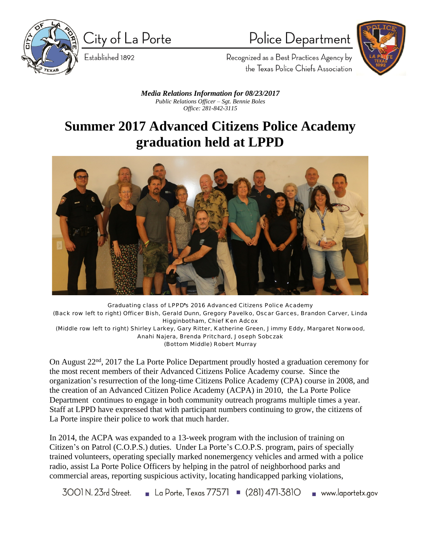

City of La Porte

Established 1892

Police Department



Recognized as a Best Practices Agency by the Texas Police Chiefs Association

*Media Relations Information for 08/23/2017 Public Relations Officer – Sgt. Bennie Boles Office: 281-842-3115*

## **Summer 2017 Advanced Citizens Police Academy graduation held at LPPD**



Graduating class of LPPD's 2016 Advanced Citizens Police Academy (Back row left to right) Officer Bish, Gerald Dunn, Gregory Pavelko, Oscar Garces, Brandon Carver, Linda Higginbotham, Chief Ken Adcox (Middle row left to right) Shirley Larkey, Gary Ritter, Katherine Green, Jimmy Eddy, Margaret Norwood, Anahi Najera, Brenda Pritchard, Joseph Sobczak (Bottom Middle) Robert Murray

On August 22nd, 2017 the La Porte Police Department proudly hosted a graduation ceremony for the most recent members of their Advanced Citizens Police Academy course. Since the organization's resurrection of the long-time Citizens Police Academy (CPA) course in 2008, and the creation of an Advanced Citizen Police Academy (ACPA) in 2010, the La Porte Police Department continues to engage in both community outreach programs multiple times a year. Staff at LPPD have expressed that with participant numbers continuing to grow, the citizens of La Porte inspire their police to work that much harder.

In 2014, the ACPA was expanded to a 13-week program with the inclusion of training on Citizen's on Patrol (C.O.P.S.) duties. Under La Porte's C.O.P.S. program, pairs of specially trained volunteers, operating specially marked nonemergency vehicles and armed with a police radio, assist La Porte Police Officers by helping in the patrol of neighborhood parks and commercial areas, reporting suspicious activity, locating handicapped parking violations,

■ La Porte, Texas 77571 ■ (281) 471-3810  $3001$  N,  $23$ rd Street. www.laportetx.gov